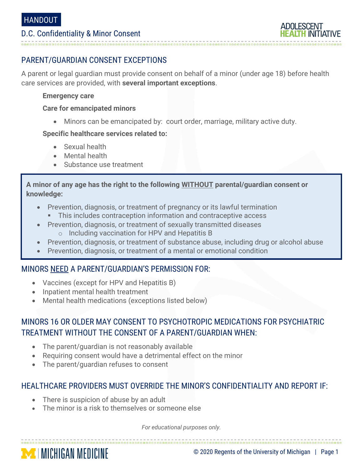### PARENT/GUARDIAN CONSENT EXCEPTIONS

A parent or legal guardian must provide consent on behalf of a minor (under age 18) before health care services are provided, with **several important exceptions**.

#### **Emergency care**

#### **Care for emancipated minors**

Minors can be emancipated by: court order, marriage, military active duty.

### **Specific healthcare services related to:**

- Sexual health
- Mental health
- Substance use treatment

#### **A minor of any age has the right to the following WITHOUT parental/guardian consent or knowledge:**

- Prevention, diagnosis, or treatment of pregnancy or its lawful termination
	- This includes contraception information and contraceptive access
- Prevention, diagnosis, or treatment of sexually transmitted diseases o Including vaccination for HPV and Hepatitis B
- Prevention, diagnosis, or treatment of substance abuse, including drug or alcohol abuse
- Prevention, diagnosis, or treatment of a mental or emotional condition

### MINORS NEED A PARENT/GUARDIAN'S PERMISSION FOR:

- Vaccines (except for HPV and Hepatitis B)
- Inpatient mental health treatment
- Mental health medications (exceptions listed below)

# MINORS 16 OR OLDER MAY CONSENT TO PSYCHOTROPIC MEDICATIONS FOR PSYCHIATRIC TREATMENT WITHOUT THE CONSENT OF A PARENT/GUARDIAN WHEN:

- The parent/guardian is not reasonably available
- Requiring consent would have a detrimental effect on the minor
- The parent/guardian refuses to consent

### HEALTHCARE PROVIDERS MUST OVERRIDE THE MINOR'S CONFIDENTIALITY AND REPORT IF:

There is suspicion of abuse by an adult

**MINICHIGAN MEDICINE** 

The minor is a risk to themselves or someone else

*For educational purposes only.*